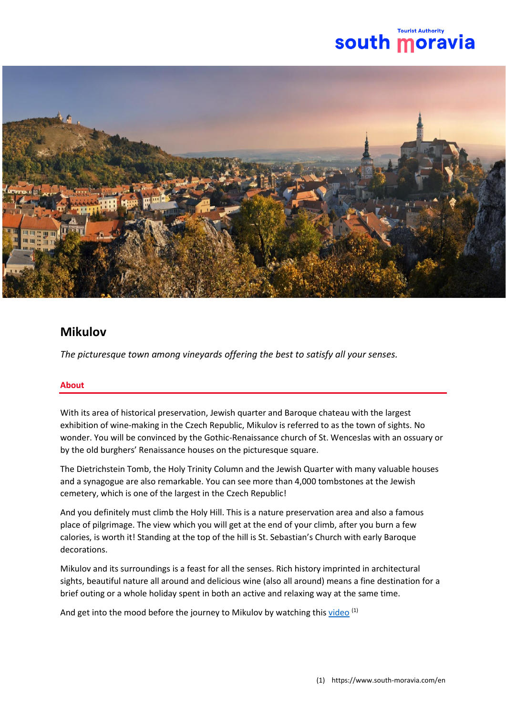



# **Mikulov**

*The picturesque town among vineyards offering the best to satisfy all your senses.*

# **About**

With its area of historical preservation, Jewish quarter and Baroque chateau with the largest exhibition of wine-making in the Czech Republic, Mikulov is referred to as the town of sights. No wonder. You will be convinced by the Gothic-Renaissance church of St. Wenceslas with an ossuary or by the old burghers' Renaissance houses on the picturesque square.

The Dietrichstein Tomb, the Holy Trinity Column and the Jewish Quarter with many valuable houses and a synagogue are also remarkable. You can see more than 4,000 tombstones at the Jewish cemetery, which is one of the largest in the Czech Republic!

And you definitely must climb the Holy Hill. This is a nature preservation area and also a famous place of pilgrimage. The view which you will get at the end of your climb, after you burn a few calories, is worth it! Standing at the top of the hill is St. Sebastian's Church with early Baroque decorations.

Mikulov and its surroundings is a feast for all the senses. Rich history imprinted in architectural sights, beautiful nature all around and delicious wine (also all around) means a fine destination for a brief outing or a whole holiday spent in both an active and relaxing way at the same time.

And get into the mood before the journey to Mikulov by watching thi[s video](https://www.youtube.com/watch?v=xfhSgaIAMUE) (1)